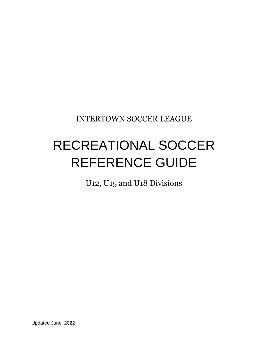INTERTOWN SOCCER LEAGUE

# RECREATIONAL SOCCER REFERENCE GUIDE

U12, U15 and U18 Divisions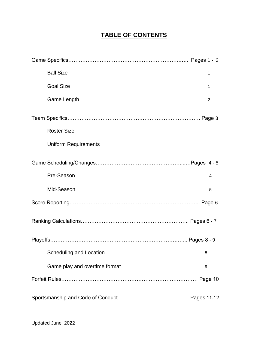## **TABLE OF CONTENTS**

| <b>Ball Size</b>              | 1 |
|-------------------------------|---|
| <b>Goal Size</b>              | 1 |
| Game Length                   | 2 |
|                               |   |
| <b>Roster Size</b>            |   |
| <b>Uniform Requirements</b>   |   |
|                               |   |
| Pre-Season                    | 4 |
| Mid-Season                    | 5 |
|                               |   |
|                               |   |
|                               |   |
| Scheduling and Location       | 8 |
| Game play and overtime format | 9 |
|                               |   |
|                               |   |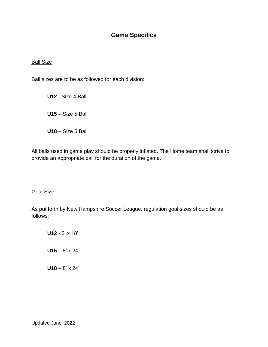## **Game Specifics**

#### **Ball Size**

Ball sizes are to be as followed for each division:

**U12** - Size 4 Ball **U15** – Size 5 Ball **U18** – Size 5 Ball

All balls used in game play should be properly inflated. The Home team shall strive to provide an appropriate ball for the duration of the game.

#### Goal Size

As put forth by New Hampshire Soccer League, regulation goal sizes should be as follows:

**U12** - 6' x 18' **U15** – 8' x 24' **U18** – 8' x 24'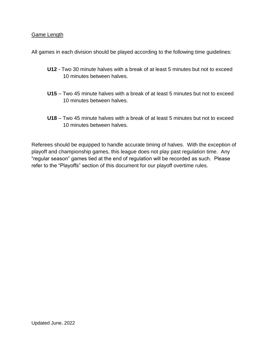#### Game Length

All games in each division should be played according to the following time guidelines:

- **U12** Two 30 minute halves with a break of at least 5 minutes but not to exceed 10 minutes between halves.
- **U15** Two 45 minute halves with a break of at least 5 minutes but not to exceed 10 minutes between halves.
- **U18** Two 45 minute halves with a break of at least 5 minutes but not to exceed 10 minutes between halves.

Referees should be equipped to handle accurate timing of halves. With the exception of playoff and championship games, this league does not play past regulation time. Any "regular season" games tied at the end of regulation will be recorded as such. Please refer to the "Playoffs" section of this document for our playoff overtime rules.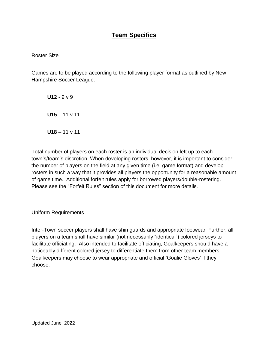## **Team Specifics**

#### Roster Size

Games are to be played according to the following player format as outlined by New Hampshire Soccer League:

**U12** - 9 v 9 **U15** – 11 v 11 **U18** – 11 v 11

Total number of players on each roster is an individual decision left up to each town's/team's discretion. When developing rosters, however, it is important to consider the number of players on the field at any given time (i.e. game format) and develop rosters in such a way that it provides all players the opportunity for a reasonable amount of game time. Additional forfeit rules apply for borrowed players/double-rostering. Please see the "Forfeit Rules" section of this document for more details.

Uniform Requirements

Inter-Town soccer players shall have shin guards and appropriate footwear. Further, all players on a team shall have similar (not necessarily "identical") colored jerseys to facilitate officiating. Also intended to facilitate officiating, Goalkeepers should have a noticeably different colored jersey to differentiate them from other team members. Goalkeepers may choose to wear appropriate and official 'Goalie Gloves' if they choose.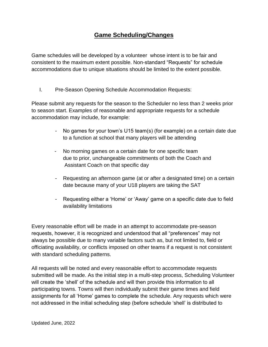## **Game Scheduling/Changes**

Game schedules will be developed by a volunteer whose intent is to be fair and consistent to the maximum extent possible. Non-standard "Requests" for schedule accommodations due to unique situations should be limited to the extent possible.

I. Pre-Season Opening Schedule Accommodation Requests:

Please submit any requests for the season to the Scheduler no less than 2 weeks prior to season start. Examples of reasonable and appropriate requests for a schedule accommodation may include, for example:

- No games for your town's U15 team(s) (for example) on a certain date due to a function at school that many players will be attending
- No morning games on a certain date for one specific team due to prior, unchangeable commitments of both the Coach and Assistant Coach on that specific day
- Requesting an afternoon game (at or after a designated time) on a certain date because many of your U18 players are taking the SAT
- Requesting either a 'Home' or 'Away' game on a specific date due to field availability limitations

Every reasonable effort will be made in an attempt to accommodate pre-season requests, however, it is recognized and understood that all "preferences" may not always be possible due to many variable factors such as, but not limited to, field or officiating availability, or conflicts imposed on other teams if a request is not consistent with standard scheduling patterns.

All requests will be noted and every reasonable effort to accommodate requests submitted will be made. As the initial step in a multi-step process, Scheduling Volunteer will create the 'shell' of the schedule and will then provide this information to all participating towns. Towns will then individually submit their game times and field assignments for all 'Home' games to complete the schedule. Any requests which were not addressed in the initial scheduling step (before schedule 'shell' is distributed to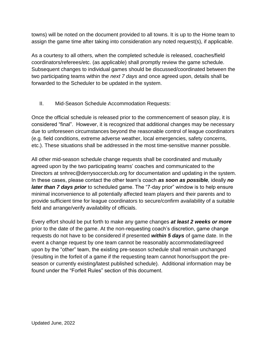towns) will be noted on the document provided to all towns. It is up to the Home team to assign the game time after taking into consideration any noted request(s), if applicable.

As a courtesy to all others, when the completed schedule is released, coaches/field coordinators/referees/etc. (as applicable) shall promptly review the game schedule. Subsequent changes to individual games should be discussed/coordinated between the two participating teams within the *next 7 days* and once agreed upon, details shall be forwarded to the Scheduler to be updated in the system.

II. Mid-Season Schedule Accommodation Requests:

Once the official schedule is released prior to the commencement of season play, it is considered "final". However, it is recognized that additional changes may be necessary due to unforeseen circumstances beyond the reasonable control of league coordinators (e.g. field conditions, extreme adverse weather, local emergencies, safety concerns, etc.). These situations shall be addressed in the most time-sensitive manner possible.

All other mid-season schedule change requests shall be coordinated and mutually agreed upon by the two participating teams' coaches and communicated to the Directors at snhrec@derrysoccerclub.org for documentation and updating in the system. In these cases, please contact the other team's coach *as soon as possible,* ideally *no later than 7 days prior* to scheduled game. The "7-day prior" window is to help ensure minimal inconvenience to all potentially affected team players and their parents and to provide sufficient time for league coordinators to secure/confirm availability of a suitable field and arrange/verify availability of officials.

Every effort should be put forth to make any game changes *at least 2 weeks or more* prior to the date of the game. At the non-requesting coach's discretion, game change requests do not have to be considered if presented *within 5 days* of game date. In the event a change request by one team cannot be reasonably accommodated/agreed upon by the "other" team, the existing pre-season schedule shall remain unchanged (resulting in the forfeit of a game if the requesting team cannot honor/support the preseason or currently existing/latest published schedule). Additional information may be found under the "Forfeit Rules" section of this document.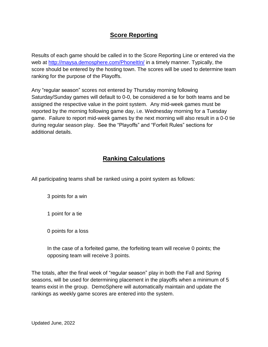## **Score Reporting**

Results of each game should be called in to the Score Reporting Line or entered via the web at<http://maysa.demosphere.com/PhoneItIn/> in a timely manner. Typically, the score should be entered by the hosting town. The scores will be used to determine team ranking for the purpose of the Playoffs.

Any "regular season" scores not entered by Thursday morning following Saturday/Sunday games will default to 0-0, be considered a tie for both teams and be assigned the respective value in the point system. Any mid-week games must be reported by the morning following game day, i.e. Wednesday morning for a Tuesday game. Failure to report mid-week games by the next morning will also result in a 0-0 tie during regular season play. See the "Playoffs" and "Forfeit Rules" sections for additional details.

### **Ranking Calculations**

All participating teams shall be ranked using a point system as follows:

3 points for a win

1 point for a tie

0 points for a loss

In the case of a forfeited game, the forfeiting team will receive 0 points; the opposing team will receive 3 points.

The totals, after the final week of "regular season" play in both the Fall and Spring seasons, will be used for determining placement in the playoffs when a minimum of 5 teams exist in the group. DemoSphere will automatically maintain and update the rankings as weekly game scores are entered into the system.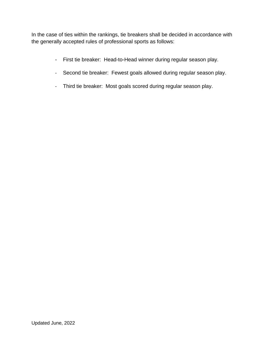In the case of ties within the rankings, tie breakers shall be decided in accordance with the generally accepted rules of professional sports as follows:

- First tie breaker: Head-to-Head winner during regular season play.
- Second tie breaker: Fewest goals allowed during regular season play.
- Third tie breaker: Most goals scored during regular season play.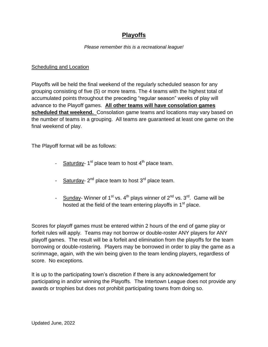## **Playoffs**

#### *Please remember this is a recreational league!*

#### Scheduling and Location

Playoffs will be held the final weekend of the regularly scheduled season for any grouping consisting of five (5) or more teams. The 4 teams with the highest total of accumulated points throughout the preceding "regular season" weeks of play will advance to the Playoff games. **All other teams will have consolation games scheduled that weekend.** Consolation game teams and locations may vary based on the number of teams in a grouping. All teams are guaranteed at least one game on the final weekend of play.

The Playoff format will be as follows:

- Saturday-1<sup>st</sup> place team to host 4<sup>th</sup> place team.
- Saturday- 2<sup>nd</sup> place team to host 3<sup>rd</sup> place team.
- Sunday- Winner of  $1^{st}$  vs.  $4^{th}$  plays winner of  $2^{nd}$  vs.  $3^{rd}$ . Game will be hosted at the field of the team entering playoffs in  $1<sup>st</sup>$  place.

Scores for playoff games must be entered within 2 hours of the end of game play or forfeit rules will apply. Teams may not borrow or double-roster ANY players for ANY playoff games. The result will be a forfeit and elimination from the playoffs for the team borrowing or double-rostering. Players may be borrowed in order to play the game as a scrimmage, again, with the win being given to the team lending players, regardless of score. No exceptions.

It is up to the participating town's discretion if there is any acknowledgement for participating in and/or winning the Playoffs. The Intertown League does not provide any awards or trophies but does not prohibit participating towns from doing so.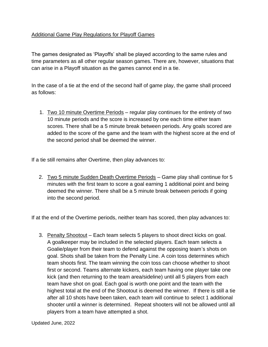#### Additional Game Play Regulations for Playoff Games

The games designated as 'Playoffs' shall be played according to the same rules and time parameters as all other regular season games. There are, however, situations that can arise in a Playoff situation as the games cannot end in a tie.

In the case of a tie at the end of the second half of game play, the game shall proceed as follows:

1. Two 10 minute Overtime Periods – regular play continues for the entirety of two 10 minute periods and the score is increased by one each time either team scores. There shall be a 5 minute break between periods. Any goals scored are added to the score of the game and the team with the highest score at the end of the second period shall be deemed the winner.

If a tie still remains after Overtime, then play advances to:

 2. Two 5 minute Sudden Death Overtime Periods – Game play shall continue for 5 minutes with the first team to score a goal earning 1 additional point and being deemed the winner. There shall be a 5 minute break between periods if going into the second period.

If at the end of the Overtime periods, neither team has scored, then play advances to:

 3. Penalty Shootout – Each team selects 5 players to shoot direct kicks on goal. A goalkeeper may be included in the selected players. Each team selects a Goalie/player from their team to defend against the opposing team's shots on goal. Shots shall be taken from the Penalty Line. A coin toss determines which team shoots first. The team winning the coin toss can choose whether to shoot first or second. Teams alternate kickers, each team having one player take one kick (and then returning to the team area/sideline) until all 5 players from each team have shot on goal. Each goal is worth one point and the team with the highest total at the end of the Shootout is deemed the winner. If there is still a tie after all 10 shots have been taken, each team will continue to select 1 additional shooter until a winner is determined. Repeat shooters will not be allowed until all players from a team have attempted a shot.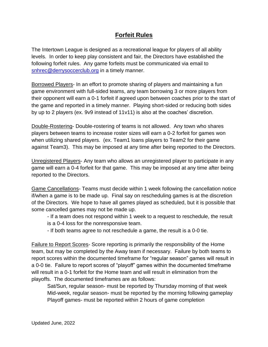## **Forfeit Rules**

The Intertown League is designed as a recreational league for players of all ability levels. In order to keep play consistent and fair, the Directors have established the following forfeit rules. Any game forfeits must be communicated via email to [snhrec@derrysoccerclub.org](mailto:snhrec@derrysoccerclub.org) in a timely manner.

Borrowed Players- In an effort to promote sharing of players and maintaining a fun game environment with full-sided teams, any team borrowing 3 or more players from their opponent will earn a 0-1 forfeit if agreed upon between coaches prior to the start of the game and reported in a timely manner. Playing short-sided or reducing both sides by up to 2 players (ex. 9v9 instead of 11v11) is also at the coaches' discretion.

Double-Rostering- Double-rostering of teams is not allowed. Any town who shares players between teams to increase roster sizes will earn a 0-2 forfeit for games won when utilizing shared players. (ex. Team1 loans players to Team2 for their game against Team3). This may be imposed at any time after being reported to the Directors.

Unregistered Players- Any team who allows an unregistered player to participate in any game will earn a 0-4 forfeit for that game. This may be imposed at any time after being reported to the Directors.

Game Cancellations- Teams must decide within 1 week following the cancellation notice if/when a game is to be made up. Final say on rescheduling games is at the discretion of the Directors. We hope to have all games played as scheduled, but it is possible that some cancelled games may not be made up.

- If a team does not respond within 1 week to a request to reschedule, the result is a 0-4 loss for the nonresponsive team.

- If both teams agree to not reschedule a game, the result is a 0-0 tie.

Failure to Report Scores- Score reporting is primarily the responsibility of the Home team, but may be completed by the Away team if necessary. Failure by both teams to report scores within the documented timeframe for "regular season" games will result in a 0-0 tie. Failure to report scores of "playoff" games within the documented timeframe will result in a 0-1 forfeit for the Home team and will result in elimination from the playoffs. The documented timeframes are as follows:

Sat/Sun, regular season- must be reported by Thursday morning of that week Mid-week, regular season- must be reported by the morning following gameplay Playoff games- must be reported within 2 hours of game completion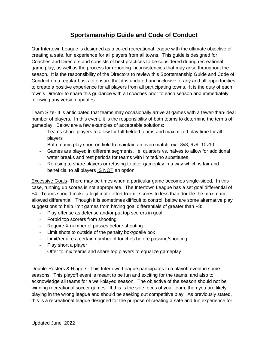## **Sportsmanship Guide and Code of Conduct**

Our Intertown League is designed as a co-ed recreational league with the ultimate objective of creating a safe, fun experience for all players from all towns. This guide is designed for Coaches and Directors and consists of best practices to be considered during recreational game play, as well as the process for reporting inconsistencies that may arise throughout the season. It is the responsibility of the Directors to review this Sportsmanship Guide and Code of Conduct on a regular basis to ensure that it is updated and inclusive of any and all opportunities to create a positive experience for all players from all participating towns. It is the duty of each town's Director to share this guidance with all coaches prior to each season and immediately following any version updates.

Team Size- It is anticipated that teams may occasionally arrive at games with a fewer-than-ideal number of players. In this event, it is the responsibility of both teams to determine the terms of gameplay. Below are a few examples of acceptable solutions:

- Teams share players to allow for full-fielded teams and maximized play time for all players
- Both teams play short on field to maintain an even match, ex., 8v8, 9v9, 10v10…
- Games are played in different segments, i.e. quarters vs. halves to allow for additional water breaks and rest periods for teams with limited/no substitutes
- Refusing to share players or refusing to alter gameplay in a way which is fair and beneficial to all players IS NOT an option

Excessive Goals- There may be times when a particular game becomes single-sided. In this case, running up scores is not appropriate. The Intertown League has a set goal differential of +4. Teams should make a legitimate effort to limit scores to less than double the maximum allowed differential. Though it is sometimes difficult to control, below are some alternative play suggestions to help limit games from having goal differentials of greater than +8:

- Play offense as defense and/or put top scorers in goal
- Forbid top scorers from shooting
- Require X number of passes before shooting
- Limit shots to outside of the penalty box/goalie box
- Limit/require a certain number of touches before passing/shooting
- Play short a player
- Offer to mix teams and share top players to equalize gameplay

Double-Rosters & Ringers- This Intertown League participates in a playoff event in some seasons. This playoff event is meant to be fun and exciting for the teams, and also to acknowledge all teams for a well-played season. The objective of the season should not be winning recreational soccer games. If this is the sole focus of your team, then you are likely playing in the wrong league and should be seeking out competitive play. As previously stated, this is a recreational league designed for the purpose of creating a safe and fun experience for